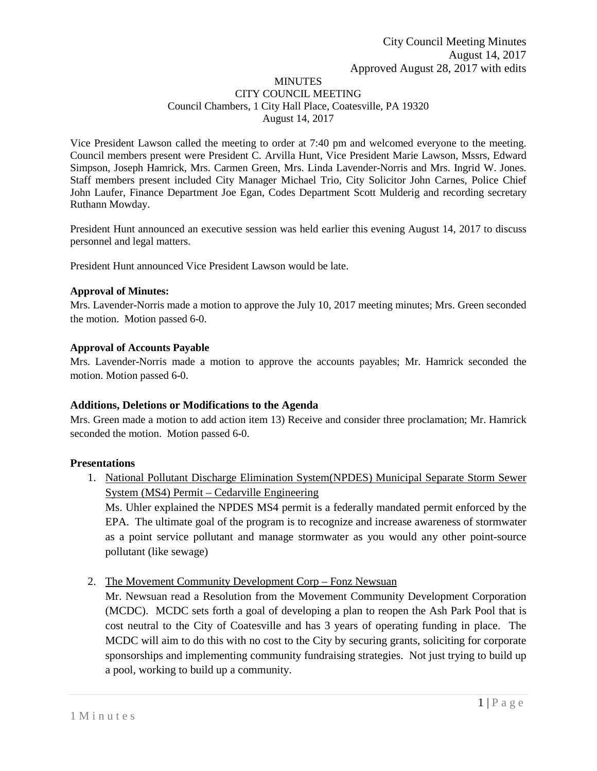#### **MINUTES** CITY COUNCIL MEETING Council Chambers, 1 City Hall Place, Coatesville, PA 19320 August 14, 2017

Vice President Lawson called the meeting to order at 7:40 pm and welcomed everyone to the meeting. Council members present were President C. Arvilla Hunt, Vice President Marie Lawson, Mssrs, Edward Simpson, Joseph Hamrick, Mrs. Carmen Green, Mrs. Linda Lavender-Norris and Mrs. Ingrid W. Jones. Staff members present included City Manager Michael Trio, City Solicitor John Carnes, Police Chief John Laufer, Finance Department Joe Egan, Codes Department Scott Mulderig and recording secretary Ruthann Mowday.

President Hunt announced an executive session was held earlier this evening August 14, 2017 to discuss personnel and legal matters.

President Hunt announced Vice President Lawson would be late.

#### **Approval of Minutes:**

Mrs. Lavender-Norris made a motion to approve the July 10, 2017 meeting minutes; Mrs. Green seconded the motion. Motion passed 6-0.

#### **Approval of Accounts Payable**

Mrs. Lavender-Norris made a motion to approve the accounts payables; Mr. Hamrick seconded the motion. Motion passed 6-0.

#### **Additions, Deletions or Modifications to the Agenda**

Mrs. Green made a motion to add action item 13) Receive and consider three proclamation; Mr. Hamrick seconded the motion. Motion passed 6-0.

#### **Presentations**

1. National Pollutant Discharge Elimination System(NPDES) Municipal Separate Storm Sewer System (MS4) Permit – Cedarville Engineering

Ms. Uhler explained the NPDES MS4 permit is a federally mandated permit enforced by the EPA. The ultimate goal of the program is to recognize and increase awareness of stormwater as a point service pollutant and manage stormwater as you would any other point-source pollutant (like sewage)

2. The Movement Community Development Corp – Fonz Newsuan

Mr. Newsuan read a Resolution from the Movement Community Development Corporation (MCDC). MCDC sets forth a goal of developing a plan to reopen the Ash Park Pool that is cost neutral to the City of Coatesville and has 3 years of operating funding in place. The MCDC will aim to do this with no cost to the City by securing grants, soliciting for corporate sponsorships and implementing community fundraising strategies. Not just trying to build up a pool, working to build up a community.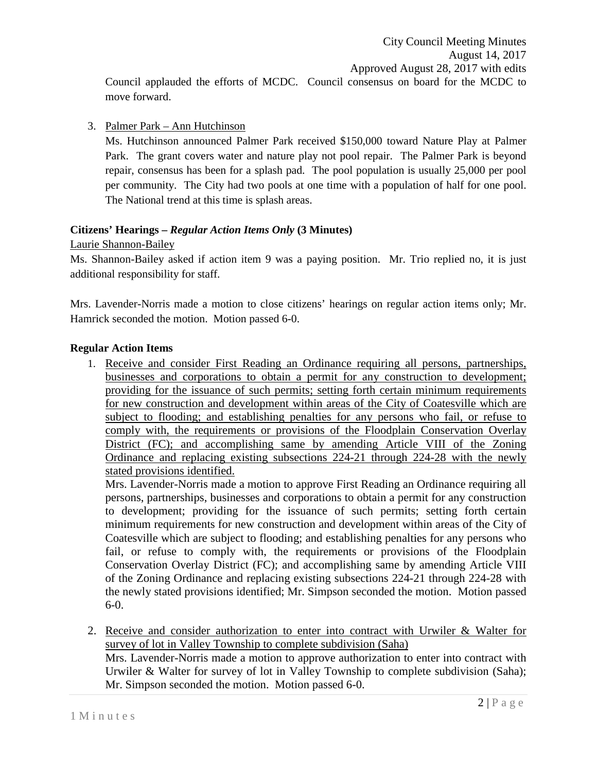Council applauded the efforts of MCDC. Council consensus on board for the MCDC to move forward.

3. Palmer Park – Ann Hutchinson

Ms. Hutchinson announced Palmer Park received \$150,000 toward Nature Play at Palmer Park. The grant covers water and nature play not pool repair. The Palmer Park is beyond repair, consensus has been for a splash pad. The pool population is usually 25,000 per pool per community. The City had two pools at one time with a population of half for one pool. The National trend at this time is splash areas.

# **Citizens' Hearings –** *Regular Action Items Only* **(3 Minutes)**

Laurie Shannon-Bailey

Ms. Shannon-Bailey asked if action item 9 was a paying position. Mr. Trio replied no, it is just additional responsibility for staff.

Mrs. Lavender-Norris made a motion to close citizens' hearings on regular action items only; Mr. Hamrick seconded the motion. Motion passed 6-0.

## **Regular Action Items**

1. Receive and consider First Reading an Ordinance requiring all persons, partnerships, businesses and corporations to obtain a permit for any construction to development; providing for the issuance of such permits; setting forth certain minimum requirements for new construction and development within areas of the City of Coatesville which are subject to flooding; and establishing penalties for any persons who fail, or refuse to comply with, the requirements or provisions of the Floodplain Conservation Overlay District (FC); and accomplishing same by amending Article VIII of the Zoning Ordinance and replacing existing subsections 224-21 through 224-28 with the newly stated provisions identified.

Mrs. Lavender-Norris made a motion to approve First Reading an Ordinance requiring all persons, partnerships, businesses and corporations to obtain a permit for any construction to development; providing for the issuance of such permits; setting forth certain minimum requirements for new construction and development within areas of the City of Coatesville which are subject to flooding; and establishing penalties for any persons who fail, or refuse to comply with, the requirements or provisions of the Floodplain Conservation Overlay District (FC); and accomplishing same by amending Article VIII of the Zoning Ordinance and replacing existing subsections 224-21 through 224-28 with the newly stated provisions identified; Mr. Simpson seconded the motion. Motion passed 6-0.

2. Receive and consider authorization to enter into contract with Urwiler & Walter for survey of lot in Valley Township to complete subdivision (Saha) Mrs. Lavender-Norris made a motion to approve authorization to enter into contract with Urwiler & Walter for survey of lot in Valley Township to complete subdivision (Saha); Mr. Simpson seconded the motion. Motion passed 6-0.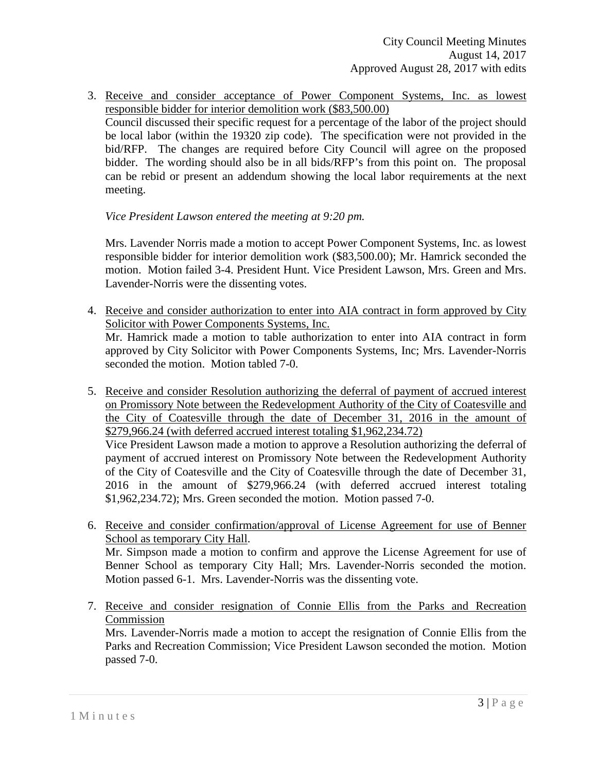3. Receive and consider acceptance of Power Component Systems, Inc. as lowest responsible bidder for interior demolition work (\$83,500.00) Council discussed their specific request for a percentage of the labor of the project should be local labor (within the 19320 zip code). The specification were not provided in the bid/RFP. The changes are required before City Council will agree on the proposed bidder. The wording should also be in all bids/RFP's from this point on. The proposal can be rebid or present an addendum showing the local labor requirements at the next meeting.

### *Vice President Lawson entered the meeting at 9:20 pm.*

Mrs. Lavender Norris made a motion to accept Power Component Systems, Inc. as lowest responsible bidder for interior demolition work (\$83,500.00); Mr. Hamrick seconded the motion. Motion failed 3-4. President Hunt. Vice President Lawson, Mrs. Green and Mrs. Lavender-Norris were the dissenting votes.

4. Receive and consider authorization to enter into AIA contract in form approved by City Solicitor with Power Components Systems, Inc. Mr. Hamrick made a motion to table authorization to enter into AIA contract in form

approved by City Solicitor with Power Components Systems, Inc; Mrs. Lavender-Norris seconded the motion. Motion tabled 7-0.

5. Receive and consider Resolution authorizing the deferral of payment of accrued interest on Promissory Note between the Redevelopment Authority of the City of Coatesville and the City of Coatesville through the date of December 31, 2016 in the amount of \$279,966.24 (with deferred accrued interest totaling \$1,962,234.72)

Vice President Lawson made a motion to approve a Resolution authorizing the deferral of payment of accrued interest on Promissory Note between the Redevelopment Authority of the City of Coatesville and the City of Coatesville through the date of December 31, 2016 in the amount of \$279,966.24 (with deferred accrued interest totaling \$1,962,234.72); Mrs. Green seconded the motion. Motion passed 7-0.

- 6. Receive and consider confirmation/approval of License Agreement for use of Benner School as temporary City Hall. Mr. Simpson made a motion to confirm and approve the License Agreement for use of Benner School as temporary City Hall; Mrs. Lavender-Norris seconded the motion. Motion passed 6-1. Mrs. Lavender-Norris was the dissenting vote.
- 7. Receive and consider resignation of Connie Ellis from the Parks and Recreation Commission

Mrs. Lavender-Norris made a motion to accept the resignation of Connie Ellis from the Parks and Recreation Commission; Vice President Lawson seconded the motion. Motion passed 7-0.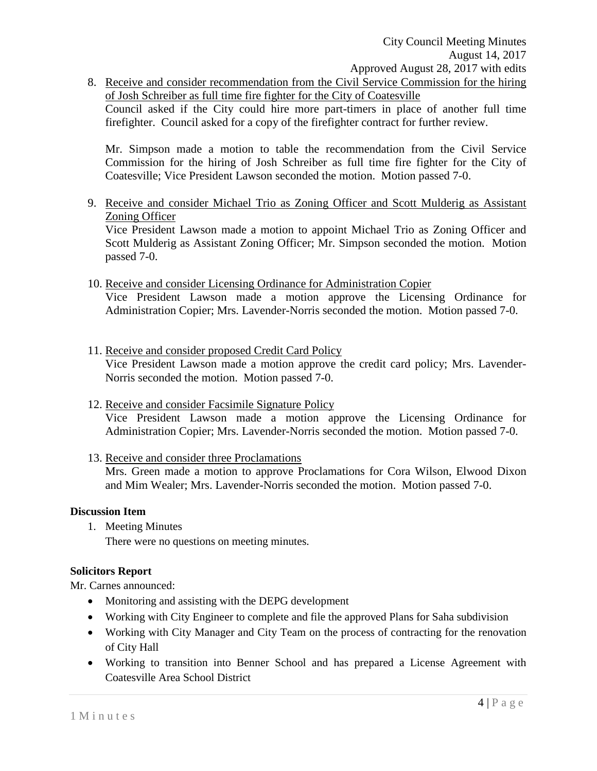8. Receive and consider recommendation from the Civil Service Commission for the hiring of Josh Schreiber as full time fire fighter for the City of Coatesville Council asked if the City could hire more part-timers in place of another full time firefighter. Council asked for a copy of the firefighter contract for further review.

Mr. Simpson made a motion to table the recommendation from the Civil Service Commission for the hiring of Josh Schreiber as full time fire fighter for the City of Coatesville; Vice President Lawson seconded the motion. Motion passed 7-0.

9. Receive and consider Michael Trio as Zoning Officer and Scott Mulderig as Assistant Zoning Officer

Vice President Lawson made a motion to appoint Michael Trio as Zoning Officer and Scott Mulderig as Assistant Zoning Officer; Mr. Simpson seconded the motion. Motion passed 7-0.

- 10. Receive and consider Licensing Ordinance for Administration Copier Vice President Lawson made a motion approve the Licensing Ordinance for Administration Copier; Mrs. Lavender-Norris seconded the motion. Motion passed 7-0.
- 11. Receive and consider proposed Credit Card Policy Vice President Lawson made a motion approve the credit card policy; Mrs. Lavender-Norris seconded the motion. Motion passed 7-0.
- 12. Receive and consider Facsimile Signature Policy Vice President Lawson made a motion approve the Licensing Ordinance for Administration Copier; Mrs. Lavender-Norris seconded the motion. Motion passed 7-0.
- 13. Receive and consider three Proclamations

Mrs. Green made a motion to approve Proclamations for Cora Wilson, Elwood Dixon and Mim Wealer; Mrs. Lavender-Norris seconded the motion. Motion passed 7-0.

#### **Discussion Item**

- 1. Meeting Minutes
	- There were no questions on meeting minutes.

#### **Solicitors Report**

Mr. Carnes announced:

- Monitoring and assisting with the DEPG development
- Working with City Engineer to complete and file the approved Plans for Saha subdivision
- Working with City Manager and City Team on the process of contracting for the renovation of City Hall
- Working to transition into Benner School and has prepared a License Agreement with Coatesville Area School District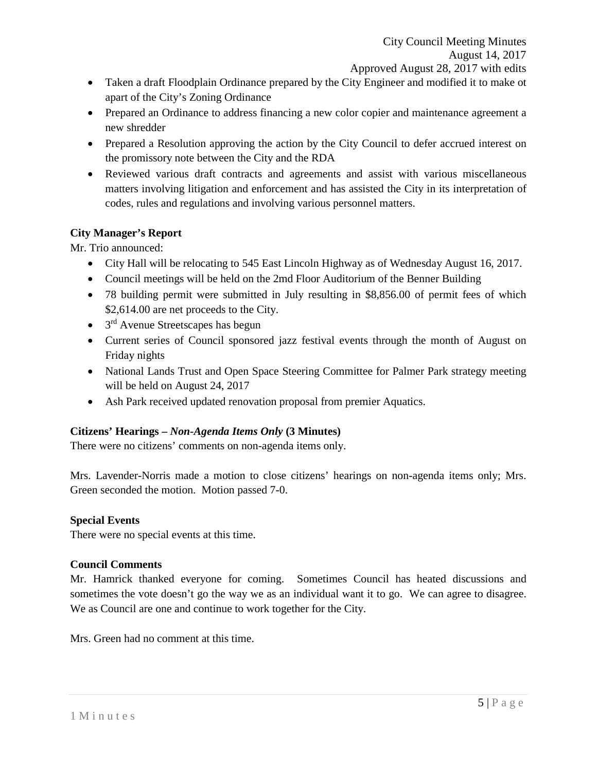- Taken a draft Floodplain Ordinance prepared by the City Engineer and modified it to make ot apart of the City's Zoning Ordinance
- Prepared an Ordinance to address financing a new color copier and maintenance agreement a new shredder
- Prepared a Resolution approving the action by the City Council to defer accrued interest on the promissory note between the City and the RDA
- Reviewed various draft contracts and agreements and assist with various miscellaneous matters involving litigation and enforcement and has assisted the City in its interpretation of codes, rules and regulations and involving various personnel matters.

## **City Manager's Report**

Mr. Trio announced:

- City Hall will be relocating to 545 East Lincoln Highway as of Wednesday August 16, 2017.
- Council meetings will be held on the 2md Floor Auditorium of the Benner Building
- 78 building permit were submitted in July resulting in \$8,856.00 of permit fees of which \$2,614.00 are net proceeds to the City.
- $\bullet$  3<sup>rd</sup> Avenue Streetscapes has begun
- Current series of Council sponsored jazz festival events through the month of August on Friday nights
- National Lands Trust and Open Space Steering Committee for Palmer Park strategy meeting will be held on August 24, 2017
- Ash Park received updated renovation proposal from premier Aquatics.

# **Citizens' Hearings –** *Non-Agenda Items Only* **(3 Minutes)**

There were no citizens' comments on non-agenda items only.

Mrs. Lavender-Norris made a motion to close citizens' hearings on non-agenda items only; Mrs. Green seconded the motion. Motion passed 7-0.

## **Special Events**

There were no special events at this time.

## **Council Comments**

Mr. Hamrick thanked everyone for coming. Sometimes Council has heated discussions and sometimes the vote doesn't go the way we as an individual want it to go. We can agree to disagree. We as Council are one and continue to work together for the City.

Mrs. Green had no comment at this time.